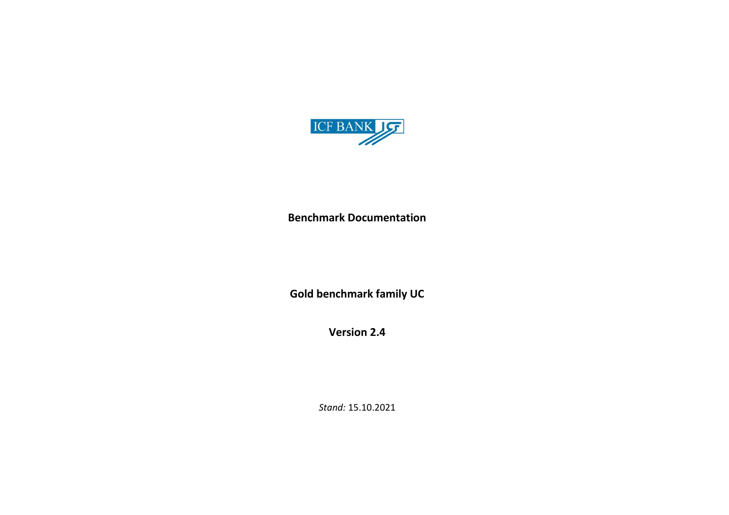

**Benchmark Documentation**

**Gold benchmark family UC**

**Version 2.4**

*Stand:* 15.10.2021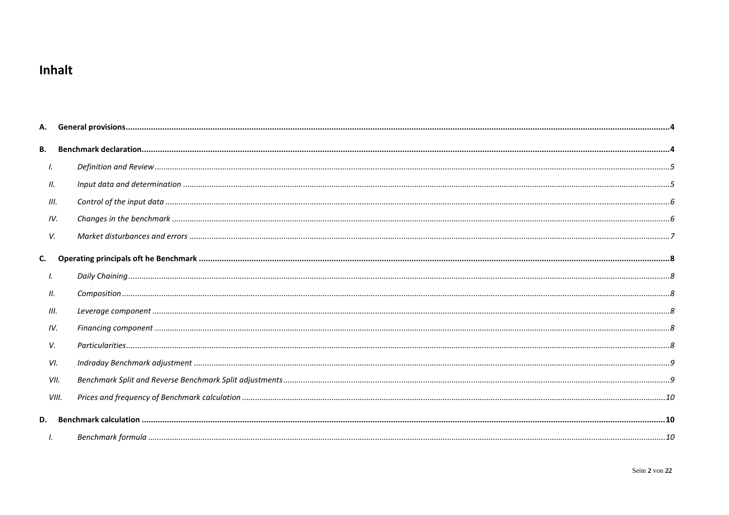# Inhalt

| В.   |       |  |
|------|-------|--|
| Ι.   |       |  |
| П.   |       |  |
| III. |       |  |
| IV.  |       |  |
| V.   |       |  |
| C.   |       |  |
| Ι.   |       |  |
| 11.  |       |  |
| III. |       |  |
| IV.  |       |  |
| V.   |       |  |
| VI.  |       |  |
|      | VII.  |  |
|      | VIII. |  |
| D.   |       |  |
|      |       |  |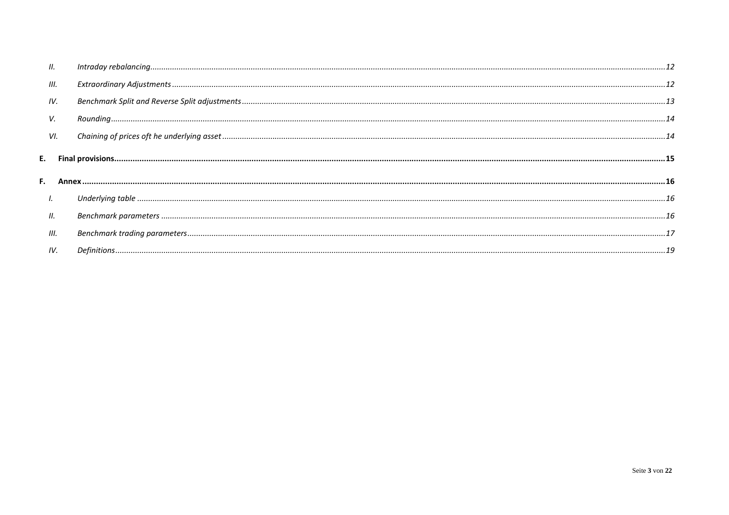| Ш.   |  |
|------|--|
| III. |  |
| IV.  |  |
| V.   |  |
| VI.  |  |
|      |  |
|      |  |
| I.   |  |
| Ш.   |  |
| III. |  |
| IV.  |  |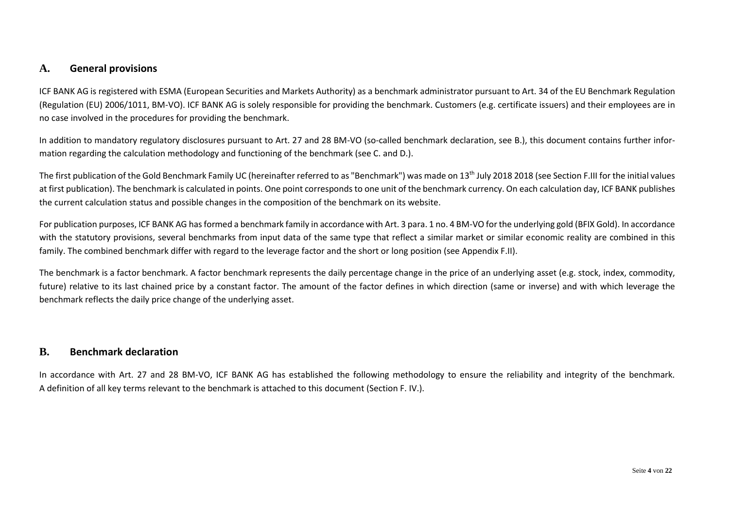### <span id="page-3-0"></span>**A. General provisions**

ICF BANK AG is registered with ESMA (European Securities and Markets Authority) as a benchmark administrator pursuant to Art. 34 of the EU Benchmark Regulation (Regulation (EU) 2006/1011, BM-VO). ICF BANK AG is solely responsible for providing the benchmark. Customers (e.g. certificate issuers) and their employees are in no case involved in the procedures for providing the benchmark.

In addition to mandatory regulatory disclosures pursuant to Art. 27 and 28 BM-VO (so-called benchmark declaration, see B.), this document contains further information regarding the calculation methodology and functioning of the benchmark (see C. and D.).

The first publication of the Gold Benchmark Family UC (hereinafter referred to as "Benchmark") was made on 13<sup>th</sup> July 2018 2018 (see Section F.III for the initial values at first publication). The benchmark is calculated in points. One point corresponds to one unit of the benchmark currency. On each calculation day, ICF BANK publishes the current calculation status and possible changes in the composition of the benchmark on its website.

For publication purposes, ICF BANK AG has formed a benchmark family in accordance with Art. 3 para. 1 no. 4 BM-VO for the underlying gold (BFIX Gold). In accordance with the statutory provisions, several benchmarks from input data of the same type that reflect a similar market or similar economic reality are combined in this family. The combined benchmark differ with regard to the leverage factor and the short or long position (see Appendix F.II).

The benchmark is a factor benchmark. A factor benchmark represents the daily percentage change in the price of an underlying asset (e.g. stock, index, commodity, future) relative to its last chained price by a constant factor. The amount of the factor defines in which direction (same or inverse) and with which leverage the benchmark reflects the daily price change of the underlying asset.

### <span id="page-3-1"></span>**B. Benchmark declaration**

In accordance with Art. 27 and 28 BM-VO, ICF BANK AG has established the following methodology to ensure the reliability and integrity of the benchmark. A definition of all key terms relevant to the benchmark is attached to this document (Section F. IV.).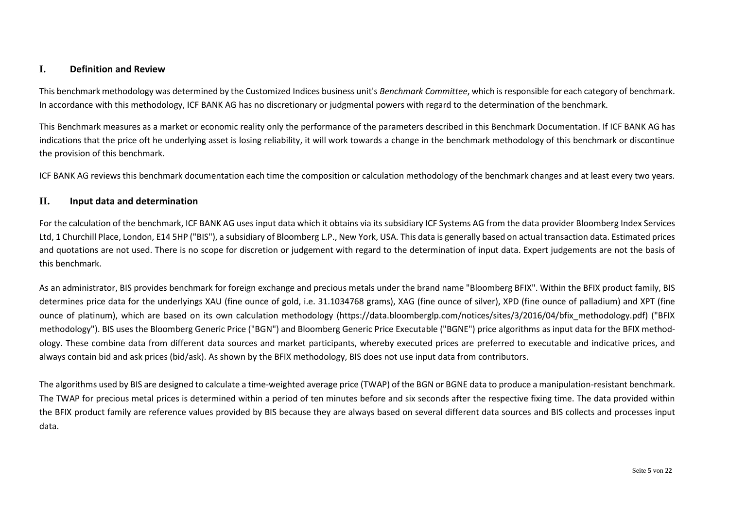#### <span id="page-4-0"></span>**I. Definition and Review**

This benchmark methodology was determined by the Customized Indices business unit's *Benchmark Committee*, which is responsible for each category of benchmark. In accordance with this methodology, ICF BANK AG has no discretionary or judgmental powers with regard to the determination of the benchmark.

This Benchmark measures as a market or economic reality only the performance of the parameters described in this Benchmark Documentation. If ICF BANK AG has indications that the price oft he underlying asset is losing reliability, it will work towards a change in the benchmark methodology of this benchmark or discontinue the provision of this benchmark.

ICF BANK AG reviews this benchmark documentation each time the composition or calculation methodology of the benchmark changes and at least every two years.

#### <span id="page-4-1"></span>**II. Input data and determination**

For the calculation of the benchmark, ICF BANK AG uses input data which it obtains via its subsidiary ICF Systems AG from the data provider Bloomberg Index Services Ltd, 1 Churchill Place, London, E14 5HP ("BIS"), a subsidiary of Bloomberg L.P., New York, USA. This data is generally based on actual transaction data. Estimated prices and quotations are not used. There is no scope for discretion or judgement with regard to the determination of input data. Expert judgements are not the basis of this benchmark.

As an administrator, BIS provides benchmark for foreign exchange and precious metals under the brand name "Bloomberg BFIX". Within the BFIX product family, BIS determines price data for the underlyings XAU (fine ounce of gold, i.e. 31.1034768 grams), XAG (fine ounce of silver), XPD (fine ounce of palladium) and XPT (fine ounce of platinum), which are based on its own calculation methodology (https://data.bloomberglp.com/notices/sites/3/2016/04/bfix\_methodology.pdf) ("BFIX methodology"). BIS uses the Bloomberg Generic Price ("BGN") and Bloomberg Generic Price Executable ("BGNE") price algorithms as input data for the BFIX methodology. These combine data from different data sources and market participants, whereby executed prices are preferred to executable and indicative prices, and always contain bid and ask prices (bid/ask). As shown by the BFIX methodology, BIS does not use input data from contributors.

The algorithms used by BIS are designed to calculate a time-weighted average price (TWAP) of the BGN or BGNE data to produce a manipulation-resistant benchmark. The TWAP for precious metal prices is determined within a period of ten minutes before and six seconds after the respective fixing time. The data provided within the BFIX product family are reference values provided by BIS because they are always based on several different data sources and BIS collects and processes input data.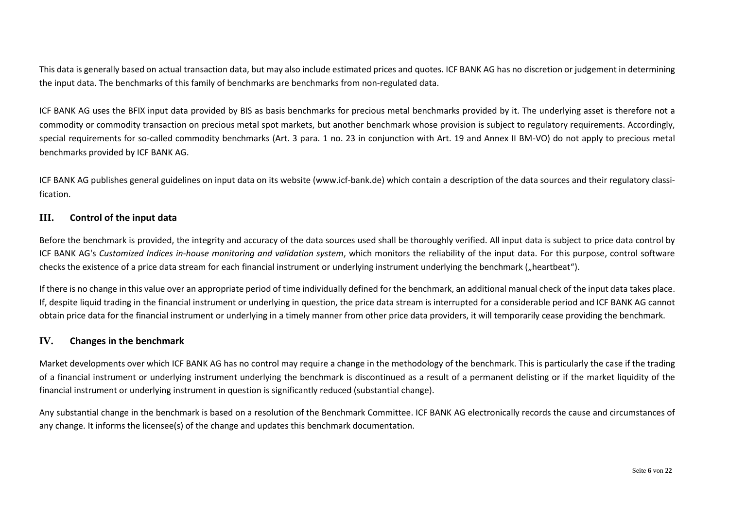This data is generally based on actual transaction data, but may also include estimated prices and quotes. ICF BANK AG has no discretion or judgement in determining the input data. The benchmarks of this family of benchmarks are benchmarks from non-regulated data.

ICF BANK AG uses the BFIX input data provided by BIS as basis benchmarks for precious metal benchmarks provided by it. The underlying asset is therefore not a commodity or commodity transaction on precious metal spot markets, but another benchmark whose provision is subject to regulatory requirements. Accordingly, special requirements for so-called commodity benchmarks (Art. 3 para. 1 no. 23 in conjunction with Art. 19 and Annex II BM-VO) do not apply to precious metal benchmarks provided by ICF BANK AG.

ICF BANK AG publishes general guidelines on input data on its website [\(www.icf-bank.de\)](http://www.icf-bank.de/) which contain a description of the data sources and their regulatory classification.

### <span id="page-5-0"></span>**III. Control of the input data**

Before the benchmark is provided, the integrity and accuracy of the data sources used shall be thoroughly verified. All input data is subject to price data control by ICF BANK AG's *Customized Indices in-house monitoring and validation system*, which monitors the reliability of the input data. For this purpose, control software checks the existence of a price data stream for each financial instrument or underlying instrument underlying the benchmark ("heartbeat").

If there is no change in this value over an appropriate period of time individually defined for the benchmark, an additional manual check of the input data takes place. If, despite liquid trading in the financial instrument or underlying in question, the price data stream is interrupted for a considerable period and ICF BANK AG cannot obtain price data for the financial instrument or underlying in a timely manner from other price data providers, it will temporarily cease providing the benchmark.

#### <span id="page-5-1"></span>**IV. Changes in the benchmark**

Market developments over which ICF BANK AG has no control may require a change in the methodology of the benchmark. This is particularly the case if the trading of a financial instrument or underlying instrument underlying the benchmark is discontinued as a result of a permanent delisting or if the market liquidity of the financial instrument or underlying instrument in question is significantly reduced (substantial change).

Any substantial change in the benchmark is based on a resolution of the Benchmark Committee. ICF BANK AG electronically records the cause and circumstances of any change. It informs the licensee(s) of the change and updates this benchmark documentation.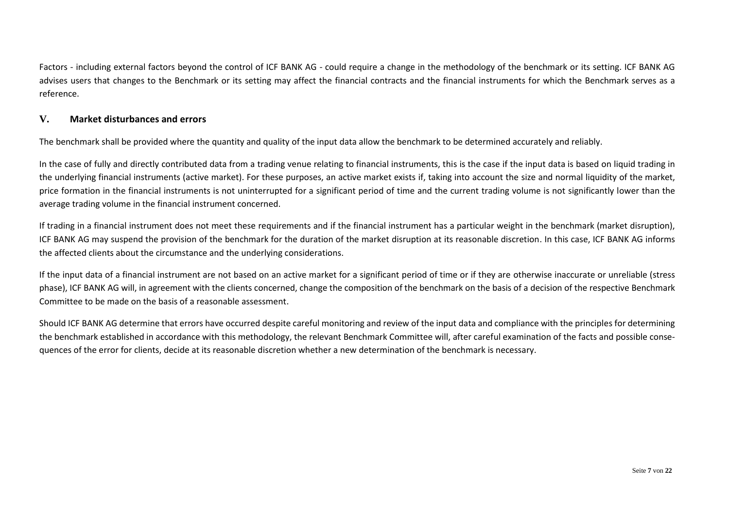Factors - including external factors beyond the control of ICF BANK AG - could require a change in the methodology of the benchmark or its setting. ICF BANK AG advises users that changes to the Benchmark or its setting may affect the financial contracts and the financial instruments for which the Benchmark serves as a reference.

### <span id="page-6-0"></span>**V. Market disturbances and errors**

The benchmark shall be provided where the quantity and quality of the input data allow the benchmark to be determined accurately and reliably.

In the case of fully and directly contributed data from a trading venue relating to financial instruments, this is the case if the input data is based on liquid trading in the underlying financial instruments (active market). For these purposes, an active market exists if, taking into account the size and normal liquidity of the market, price formation in the financial instruments is not uninterrupted for a significant period of time and the current trading volume is not significantly lower than the average trading volume in the financial instrument concerned.

If trading in a financial instrument does not meet these requirements and if the financial instrument has a particular weight in the benchmark (market disruption), ICF BANK AG may suspend the provision of the benchmark for the duration of the market disruption at its reasonable discretion. In this case, ICF BANK AG informs the affected clients about the circumstance and the underlying considerations.

If the input data of a financial instrument are not based on an active market for a significant period of time or if they are otherwise inaccurate or unreliable (stress phase), ICF BANK AG will, in agreement with the clients concerned, change the composition of the benchmark on the basis of a decision of the respective Benchmark Committee to be made on the basis of a reasonable assessment.

Should ICF BANK AG determine that errors have occurred despite careful monitoring and review of the input data and compliance with the principles for determining the benchmark established in accordance with this methodology, the relevant Benchmark Committee will, after careful examination of the facts and possible consequences of the error for clients, decide at its reasonable discretion whether a new determination of the benchmark is necessary.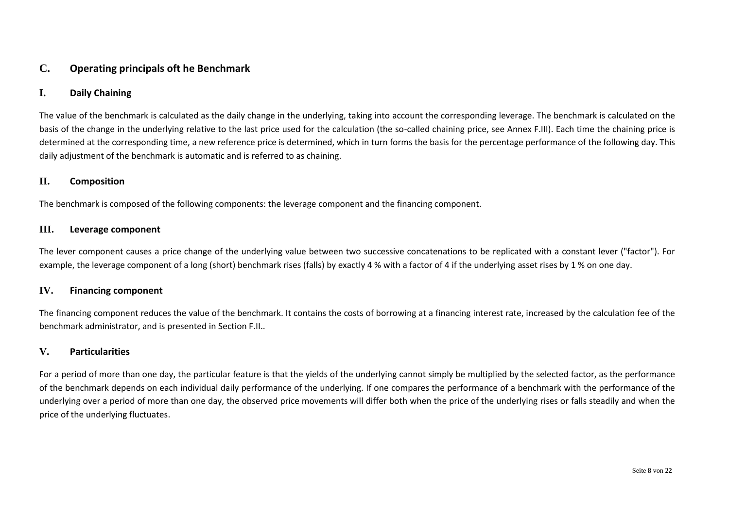### <span id="page-7-0"></span>**C. Operating principals oft he Benchmark**

### <span id="page-7-1"></span>**I. Daily Chaining**

The value of the benchmark is calculated as the daily change in the underlying, taking into account the corresponding leverage. The benchmark is calculated on the basis of the change in the underlying relative to the last price used for the calculation (the so-called chaining price, see Annex F.III). Each time the chaining price is determined at the corresponding time, a new reference price is determined, which in turn forms the basis for the percentage performance of the following day. This daily adjustment of the benchmark is automatic and is referred to as chaining.

#### <span id="page-7-2"></span>**II. Composition**

The benchmark is composed of the following components: the leverage component and the financing component.

#### <span id="page-7-3"></span>**III. Leverage component**

The lever component causes a price change of the underlying value between two successive concatenations to be replicated with a constant lever ("factor"). For example, the leverage component of a long (short) benchmark rises (falls) by exactly 4 % with a factor of 4 if the underlying asset rises by 1 % on one day.

#### <span id="page-7-4"></span>**IV. Financing component**

The financing component reduces the value of the benchmark. It contains the costs of borrowing at a financing interest rate, increased by the calculation fee of the benchmark administrator, and is presented in Section F.II..

### <span id="page-7-5"></span>**V. Particularities**

For a period of more than one day, the particular feature is that the yields of the underlying cannot simply be multiplied by the selected factor, as the performance of the benchmark depends on each individual daily performance of the underlying. If one compares the performance of a benchmark with the performance of the underlying over a period of more than one day, the observed price movements will differ both when the price of the underlying rises or falls steadily and when the price of the underlying fluctuates.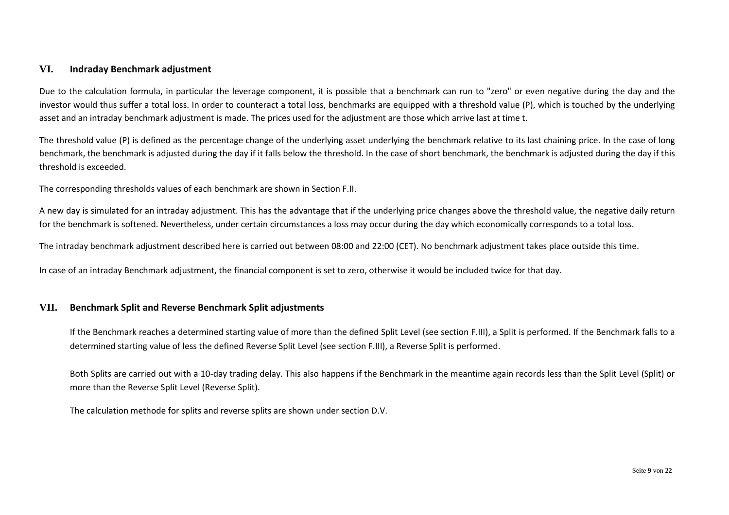### <span id="page-8-0"></span>**VI. Indraday Benchmark adjustment**

Due to the calculation formula, in particular the leverage component, it is possible that a benchmark can run to "zero" or even negative during the day and the investor would thus suffer a total loss. In order to counteract a total loss, benchmarks are equipped with a threshold value (P), which is touched by the underlying asset and an intraday benchmark adjustment is made. The prices used for the adjustment are those which arrive last at time t.

The threshold value (P) is defined as the percentage change of the underlying asset underlying the benchmark relative to its last chaining price. In the case of long benchmark, the benchmark is adjusted during the day if it falls below the threshold. In the case of short benchmark, the benchmark is adjusted during the day if this threshold is exceeded.

The corresponding thresholds values of each benchmark are shown in Section F.II.

A new day is simulated for an intraday adjustment. This has the advantage that if the underlying price changes above the threshold value, the negative daily return for the benchmark is softened. Nevertheless, under certain circumstances a loss may occur during the day which economically corresponds to a total loss.

The intraday benchmark adjustment described here is carried out between 08:00 and 22:00 (CET). No benchmark adjustment takes place outside this time.

In case of an intraday Benchmark adjustment, the financial component is set to zero, otherwise it would be included twice for that day.

#### <span id="page-8-1"></span>**VII. Benchmark Split and Reverse Benchmark Split adjustments**

If the Benchmark reaches a determined starting value of more than the defined Split Level (see section F.III), a Split is performed. If the Benchmark falls to a determined starting value of less the defined Reverse Split Level (see section F.III), a Reverse Split is performed.

Both Splits are carried out with a 10-day trading delay. This also happens if the Benchmark in the meantime again records less than the Split Level (Split) or more than the Reverse Split Level (Reverse Split).

The calculation methode for splits and reverse splits are shown under section D.V.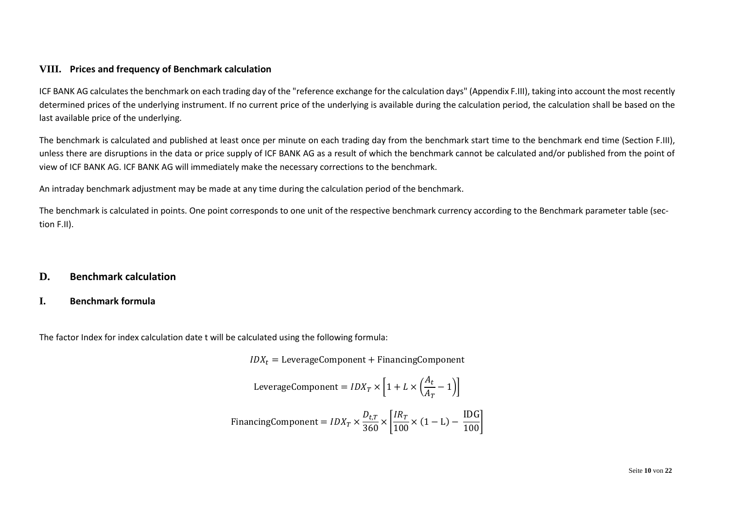### <span id="page-9-0"></span>**VIII. Prices and frequency of Benchmark calculation**

ICF BANK AG calculates the benchmark on each trading day of the "reference exchange for the calculation days" (Appendix F.III), taking into account the most recently determined prices of the underlying instrument. If no current price of the underlying is available during the calculation period, the calculation shall be based on the last available price of the underlying.

The benchmark is calculated and published at least once per minute on each trading day from the benchmark start time to the benchmark end time (Section F.III), unless there are disruptions in the data or price supply of ICF BANK AG as a result of which the benchmark cannot be calculated and/or published from the point of view of ICF BANK AG. ICF BANK AG will immediately make the necessary corrections to the benchmark.

An intraday benchmark adjustment may be made at any time during the calculation period of the benchmark.

The benchmark is calculated in points. One point corresponds to one unit of the respective benchmark currency according to the Benchmark parameter table (section F.II).

### <span id="page-9-1"></span>**D. Benchmark calculation**

### <span id="page-9-2"></span>**I. Benchmark formula**

The factor Index for index calculation date t will be calculated using the following formula:

 $IDX_t = \text{LeverageComponent} + \text{Financial Company}$ 

LeverageComponent = 
$$
IDX_T \times \left[1 + L \times \left(\frac{A_t}{A_T} - 1\right)\right]
$$

\nFinancial  
\nFinancingComponent =  $IDX_T \times \frac{D_{t,T}}{360} \times \left[\frac{IR_T}{100} \times (1 - L) - \frac{IDG}{100}\right]$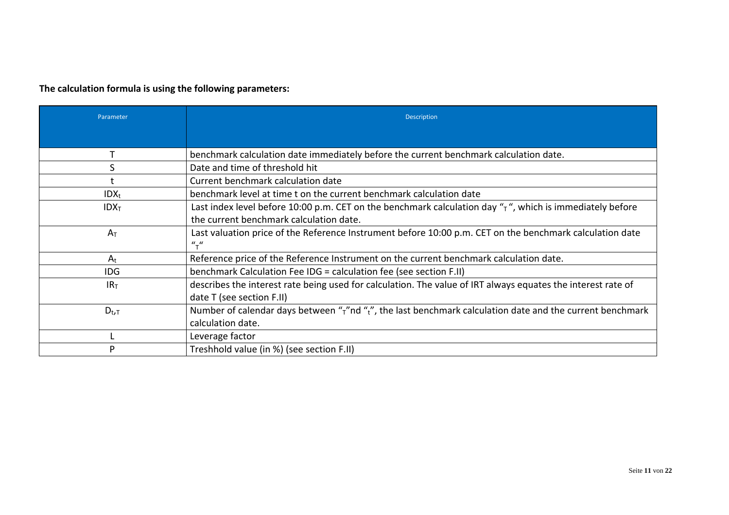# **The calculation formula is using the following parameters:**

| Parameter        | <b>Description</b>                                                                                                     |
|------------------|------------------------------------------------------------------------------------------------------------------------|
|                  |                                                                                                                        |
|                  | benchmark calculation date immediately before the current benchmark calculation date.                                  |
| S                | Date and time of threshold hit                                                                                         |
|                  | Current benchmark calculation date                                                                                     |
| $IDX_t$          | benchmark level at time t on the current benchmark calculation date                                                    |
| IDX <sub>T</sub> | Last index level before 10:00 p.m. CET on the benchmark calculation day " $\tau$ ", which is immediately before        |
|                  | the current benchmark calculation date.                                                                                |
| $A_T$            | Last valuation price of the Reference Instrument before 10:00 p.m. CET on the benchmark calculation date               |
|                  | $u_{\tau}$                                                                                                             |
| $A_t$            | Reference price of the Reference Instrument on the current benchmark calculation date.                                 |
| <b>IDG</b>       | benchmark Calculation Fee IDG = calculation fee (see section F.II)                                                     |
| IR <sub>T</sub>  | describes the interest rate being used for calculation. The value of IRT always equates the interest rate of           |
|                  | date T (see section F.II)                                                                                              |
| $D_{t,T}$        | Number of calendar days between " $\tau$ "nd " $\tau$ ", the last benchmark calculation date and the current benchmark |
|                  | calculation date.                                                                                                      |
|                  | Leverage factor                                                                                                        |
| D                | Treshhold value (in %) (see section F.II)                                                                              |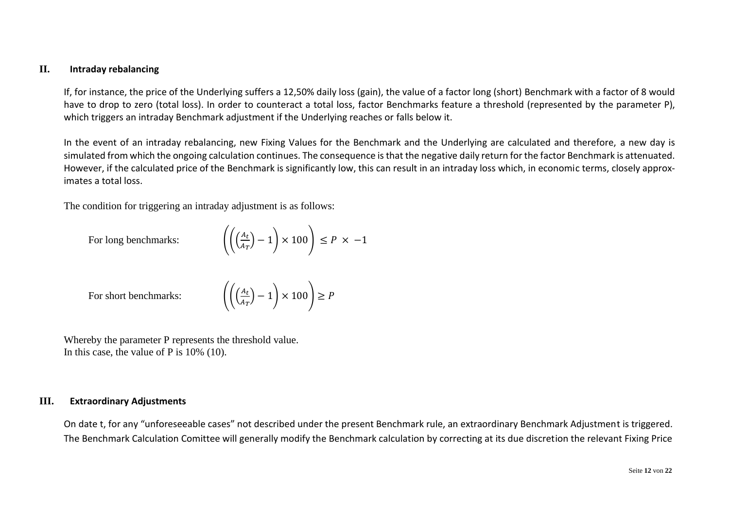### <span id="page-11-0"></span>**II. Intraday rebalancing**

If, for instance, the price of the Underlying suffers a 12,50% daily loss (gain), the value of a factor long (short) Benchmark with a factor of 8 would have to drop to zero (total loss). In order to counteract a total loss, factor Benchmarks feature a threshold (represented by the parameter P), which triggers an intraday Benchmark adjustment if the Underlying reaches or falls below it.

In the event of an intraday rebalancing, new Fixing Values for the Benchmark and the Underlying are calculated and therefore, a new day is simulated from which the ongoing calculation continues. The consequence is that the negative daily return for the factor Benchmark is attenuated. However, if the calculated price of the Benchmark is significantly low, this can result in an intraday loss which, in economic terms, closely approximates a total loss.

The condition for triggering an intraday adjustment is as follows:

For long benchmarks:

$$
\left( \left( \left( \frac{A_t}{A_T} \right) - 1 \right) \times 100 \right) \le P \times -1
$$

For short benchmarks:

$$
\left(\frac{A_t}{A_T}\right) - 1\right) \times 100\bigg) \ge P
$$

Whereby the parameter P represents the threshold value. In this case, the value of P is 10% (10).

### <span id="page-11-1"></span>**III. Extraordinary Adjustments**

On date t, for any "unforeseeable cases" not described under the present Benchmark rule, an extraordinary Benchmark Adjustment is triggered. The Benchmark Calculation Comittee will generally modify the Benchmark calculation by correcting at its due discretion the relevant Fixing Price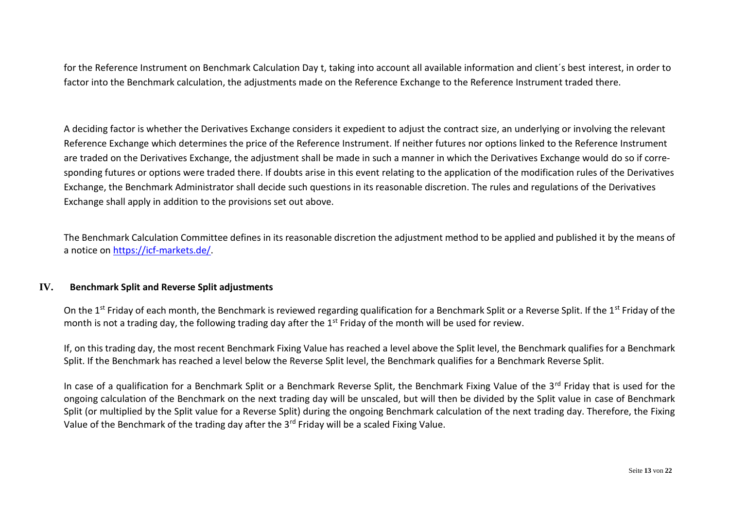for the Reference Instrument on Benchmark Calculation Day t, taking into account all available information and client´s best interest, in order to factor into the Benchmark calculation, the adjustments made on the Reference Exchange to the Reference Instrument traded there.

A deciding factor is whether the Derivatives Exchange considers it expedient to adjust the contract size, an underlying or involving the relevant Reference Exchange which determines the price of the Reference Instrument. If neither futures nor options linked to the Reference Instrument are traded on the Derivatives Exchange, the adjustment shall be made in such a manner in which the Derivatives Exchange would do so if corresponding futures or options were traded there. If doubts arise in this event relating to the application of the modification rules of the Derivatives Exchange, the Benchmark Administrator shall decide such questions in its reasonable discretion. The rules and regulations of the Derivatives Exchange shall apply in addition to the provisions set out above.

The Benchmark Calculation Committee defines in its reasonable discretion the adjustment method to be applied and published it by the means of a notice on [https://icf-markets.de/.](https://icf-markets.de/)

### <span id="page-12-0"></span>**IV. Benchmark Split and Reverse Split adjustments**

On the 1<sup>st</sup> Friday of each month, the Benchmark is reviewed regarding qualification for a Benchmark Split or a Reverse Split. If the 1<sup>st</sup> Friday of the month is not a trading day, the following trading day after the 1<sup>st</sup> Friday of the month will be used for review.

If, on this trading day, the most recent Benchmark Fixing Value has reached a level above the Split level, the Benchmark qualifies for a Benchmark Split. If the Benchmark has reached a level below the Reverse Split level, the Benchmark qualifies for a Benchmark Reverse Split.

In case of a qualification for a Benchmark Split or a Benchmark Reverse Split, the Benchmark Fixing Value of the 3<sup>rd</sup> Friday that is used for the ongoing calculation of the Benchmark on the next trading day will be unscaled, but will then be divided by the Split value in case of Benchmark Split (or multiplied by the Split value for a Reverse Split) during the ongoing Benchmark calculation of the next trading day. Therefore, the Fixing Value of the Benchmark of the trading day after the 3<sup>rd</sup> Friday will be a scaled Fixing Value.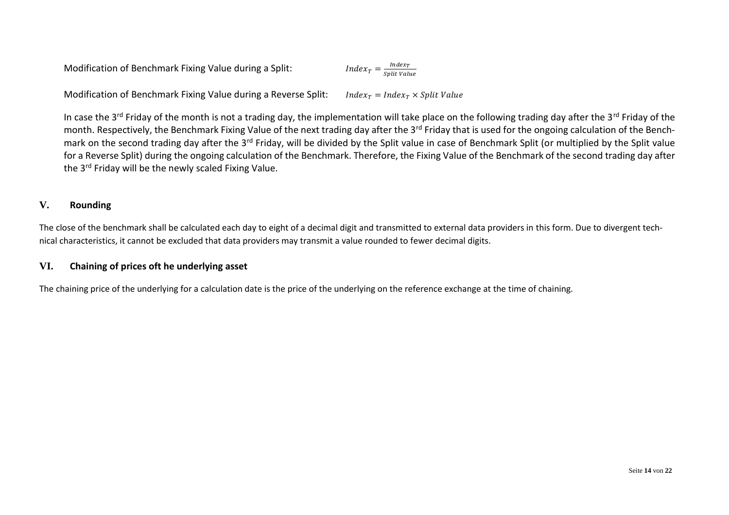Modification of Benchmark Fixing Value during a Split:  $Index_T$ Split Value

Modification of Benchmark Fixing Value during a Reverse Split: *Index<sub>T</sub>* = Index<sub>T</sub> × Split Value

In case the 3<sup>rd</sup> Friday of the month is not a trading day, the implementation will take place on the following trading day after the 3<sup>rd</sup> Friday of the month. Respectively, the Benchmark Fixing Value of the next trading day after the 3<sup>rd</sup> Friday that is used for the ongoing calculation of the Benchmark on the second trading day after the 3<sup>rd</sup> Friday, will be divided by the Split value in case of Benchmark Split (or multiplied by the Split value for a Reverse Split) during the ongoing calculation of the Benchmark. Therefore, the Fixing Value of the Benchmark of the second trading day after the 3<sup>rd</sup> Friday will be the newly scaled Fixing Value.

### <span id="page-13-0"></span>**V. Rounding**

The close of the benchmark shall be calculated each day to eight of a decimal digit and transmitted to external data providers in this form. Due to divergent technical characteristics, it cannot be excluded that data providers may transmit a value rounded to fewer decimal digits.

### <span id="page-13-1"></span>**VI. Chaining of prices oft he underlying asset**

The chaining price of the underlying for a calculation date is the price of the underlying on the reference exchange at the time of chaining.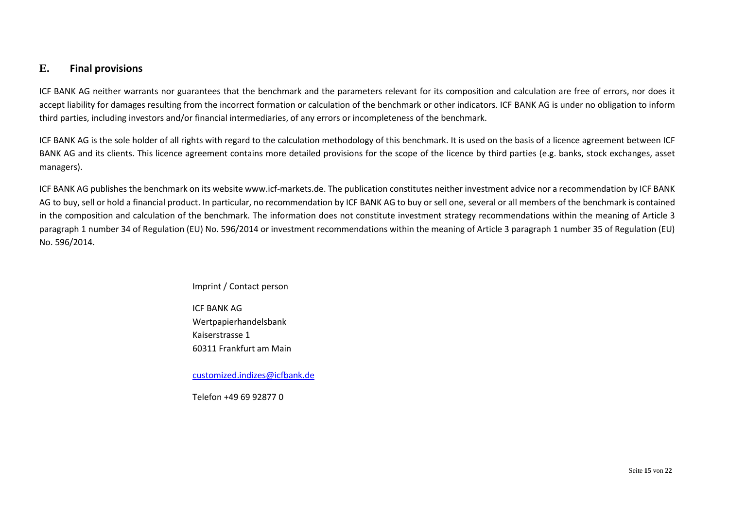### <span id="page-14-0"></span>**E. Final provisions**

ICF BANK AG neither warrants nor guarantees that the benchmark and the parameters relevant for its composition and calculation are free of errors, nor does it accept liability for damages resulting from the incorrect formation or calculation of the benchmark or other indicators. ICF BANK AG is under no obligation to inform third parties, including investors and/or financial intermediaries, of any errors or incompleteness of the benchmark.

ICF BANK AG is the sole holder of all rights with regard to the calculation methodology of this benchmark. It is used on the basis of a licence agreement between ICF BANK AG and its clients. This licence agreement contains more detailed provisions for the scope of the licence by third parties (e.g. banks, stock exchanges, asset managers).

ICF BANK AG publishes the benchmark on its website www.icf-markets.de. The publication constitutes neither investment advice nor a recommendation by ICF BANK AG to buy, sell or hold a financial product. In particular, no recommendation by ICF BANK AG to buy or sell one, several or all members of the benchmark is contained in the composition and calculation of the benchmark. The information does not constitute investment strategy recommendations within the meaning of Article 3 paragraph 1 number 34 of Regulation (EU) No. 596/2014 or investment recommendations within the meaning of Article 3 paragraph 1 number 35 of Regulation (EU) No. 596/2014.

#### Imprint / Contact person

ICF BANK AG Wertpapierhandelsbank Kaiserstrasse 1 60311 Frankfurt am Main

[customized.indizes@icfbank.de](mailto:customized.indizes@icfbank.de)

Telefon +49 69 92877 0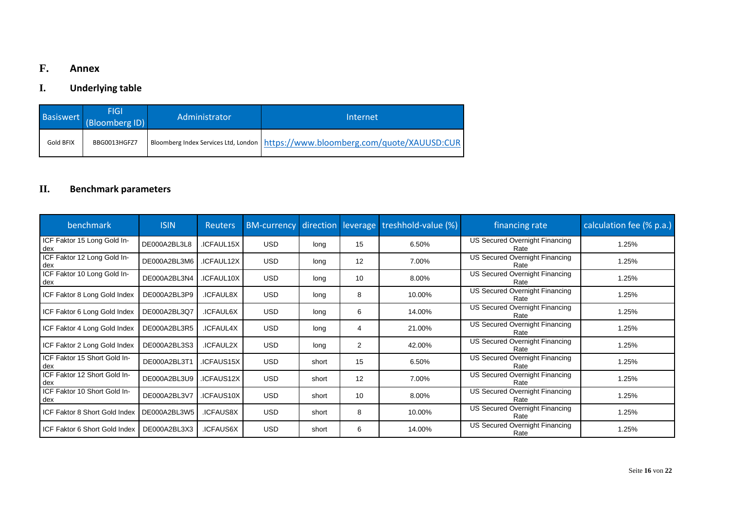# <span id="page-15-0"></span>**F. Annex**

# <span id="page-15-1"></span>**I. Underlying table**

| Basiswert <sub>Inte</sub> | <b>FIGI</b><br>(Bloomberg ID) | Administrator | Internet                                                                          |
|---------------------------|-------------------------------|---------------|-----------------------------------------------------------------------------------|
| Gold BFIX                 | BBG0013HGFZ7                  |               | Bloomberg Index Services Ltd, London   https://www.bloomberg.com/quote/XAUUSD:CUR |

# <span id="page-15-2"></span>**II. Benchmark parameters**

| benchmark                                    | <b>ISIN</b>  | <b>Reuters</b> | <b>BM-currency</b> |       |    | direction leverage treshhold-value (%) | financing rate                                | calculation fee (% p.a.) |
|----------------------------------------------|--------------|----------------|--------------------|-------|----|----------------------------------------|-----------------------------------------------|--------------------------|
| ICF Faktor 15 Long Gold In-<br>dex           | DE000A2BL3L8 | .ICFAUL15X     | <b>USD</b>         | lona  | 15 | 6.50%                                  | <b>US Secured Overnight Financing</b><br>Rate | 1.25%                    |
| ICF Faktor 12 Long Gold In-<br>dex           | DE000A2BL3M6 | .ICFAUL12X     | <b>USD</b>         | long  | 12 | 7.00%                                  | US Secured Overnight Financing<br>Rate        | 1.25%                    |
| ICF Faktor 10 Long Gold In-<br>dex           | DE000A2BL3N4 | .ICFAUL10X     | <b>USD</b>         | long  | 10 | 8.00%                                  | <b>US Secured Overnight Financing</b><br>Rate | 1.25%                    |
| ICF Faktor 8 Long Gold Index                 | DE000A2BL3P9 | .ICFAUL8X      | <b>USD</b>         | long  | 8  | 10.00%                                 | US Secured Overnight Financing<br>Rate        | 1.25%                    |
| ICF Faktor 6 Long Gold Index                 | DE000A2BL3Q7 | .ICFAUL6X      | <b>USD</b>         | long  | 6  | 14.00%                                 | <b>US Secured Overnight Financing</b><br>Rate | 1.25%                    |
| ICF Faktor 4 Long Gold Index                 | DE000A2BL3R5 | .ICFAUL4X      | <b>USD</b>         | long  | 4  | 21.00%                                 | <b>US Secured Overnight Financing</b><br>Rate | 1.25%                    |
| ICF Faktor 2 Long Gold Index                 | DE000A2BL3S3 | .ICFAUL2X      | <b>USD</b>         | long  | 2  | 42.00%                                 | US Secured Overnight Financing<br>Rate        | 1.25%                    |
| ICF Faktor 15 Short Gold In-<br>dex          | DE000A2BL3T1 | ICFAUS15X      | <b>USD</b>         | short | 15 | 6.50%                                  | US Secured Overnight Financing<br>Rate        | 1.25%                    |
| ICF Faktor 12 Short Gold In-<br>dex          | DE000A2BL3U9 | .ICFAUS12X     | <b>USD</b>         | short | 12 | 7.00%                                  | US Secured Overnight Financing<br>Rate        | 1.25%                    |
| ICF Faktor 10 Short Gold In-<br>dex          | DE000A2BL3V7 | .ICFAUS10X     | <b>USD</b>         | short | 10 | 8.00%                                  | <b>US Secured Overnight Financing</b><br>Rate | 1.25%                    |
| ICF Faktor 8 Short Gold Index   DE000A2BL3W5 |              | .ICFAUS8X      | <b>USD</b>         | short | 8  | 10.00%                                 | US Secured Overnight Financing<br>Rate        | 1.25%                    |
| ICF Faktor 6 Short Gold Index                | DE000A2BL3X3 | .ICFAUS6X      | <b>USD</b>         | short | 6  | 14.00%                                 | US Secured Overnight Financing<br>Rate        | 1.25%                    |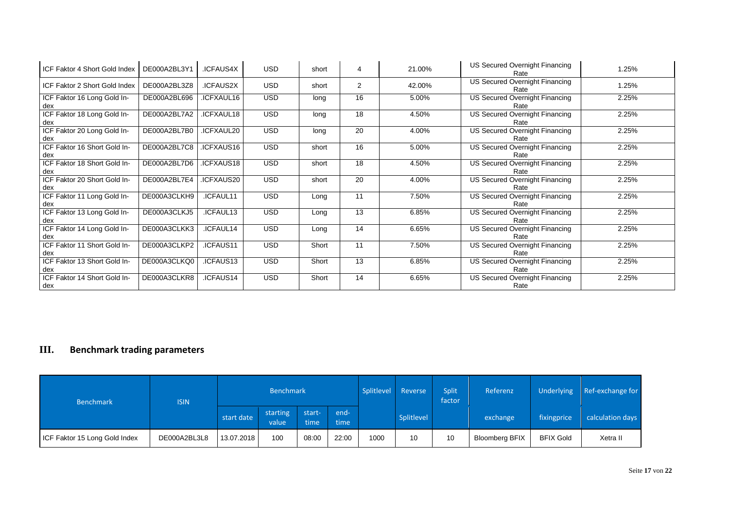| ICF Faktor 4 Short Gold Index       | DE000A2BL3Y1 | .ICFAUS4X  | <b>USD</b> | short | 4              | 21.00% | US Secured Overnight Financing<br>Rate        | 1.25% |
|-------------------------------------|--------------|------------|------------|-------|----------------|--------|-----------------------------------------------|-------|
| ICF Faktor 2 Short Gold Index       | DE000A2BL3Z8 | .ICFAUS2X  | USD.       | short | $\overline{2}$ | 42.00% | US Secured Overnight Financing<br>Rate        | 1.25% |
| ICF Faktor 16 Long Gold In-<br>dex  | DE000A2BL696 | ICFXAUL16  | <b>USD</b> | long  | 16             | 5.00%  | US Secured Overnight Financing<br>Rate        | 2.25% |
| ICF Faktor 18 Long Gold In-<br>dex  | DE000A2BL7A2 | ICFXAUL18  | <b>USD</b> | long  | 18             | 4.50%  | US Secured Overnight Financing<br>Rate        | 2.25% |
| ICF Faktor 20 Long Gold In-<br>dex  | DE000A2BL7B0 | ICFXAUL20  | <b>USD</b> | long  | 20             | 4.00%  | <b>US Secured Overnight Financing</b><br>Rate | 2.25% |
| ICF Faktor 16 Short Gold In-<br>dex | DE000A2BL7C8 | ICFXAUS16  | <b>USD</b> | short | 16             | 5.00%  | US Secured Overnight Financing<br>Rate        | 2.25% |
| ICF Faktor 18 Short Gold In-<br>dex | DE000A2BL7D6 | ICFXAUS18  | <b>USD</b> | short | 18             | 4.50%  | US Secured Overnight Financing<br>Rate        | 2.25% |
| ICF Faktor 20 Short Gold In-<br>dex | DE000A2BL7E4 | ICFXAUS20. | <b>USD</b> | short | 20             | 4.00%  | US Secured Overnight Financing<br>Rate        | 2.25% |
| ICF Faktor 11 Long Gold In-<br>dex  | DE000A3CLKH9 | .ICFAUL11  | <b>USD</b> | Long  | 11             | 7.50%  | US Secured Overnight Financing<br>Rate        | 2.25% |
| ICF Faktor 13 Long Gold In-<br>dex  | DE000A3CLKJ5 | ICFAUL13   | <b>USD</b> | Long  | 13             | 6.85%  | US Secured Overnight Financing<br>Rate        | 2.25% |
| ICF Faktor 14 Long Gold In-<br>dex  | DE000A3CLKK3 | ICFAUL14   | <b>USD</b> | Long  | 14             | 6.65%  | <b>US Secured Overnight Financing</b><br>Rate | 2.25% |
| ICF Faktor 11 Short Gold In-<br>dex | DE000A3CLKP2 | .ICFAUS11  | <b>USD</b> | Short | 11             | 7.50%  | US Secured Overnight Financing<br>Rate        | 2.25% |
| ICF Faktor 13 Short Gold In-<br>dex | DE000A3CLKQ0 | .ICFAUS13  | <b>USD</b> | Short | 13             | 6.85%  | <b>US Secured Overnight Financing</b><br>Rate | 2.25% |
| ICF Faktor 14 Short Gold In-<br>dex | DE000A3CLKR8 | .ICFAUS14  | <b>USD</b> | Short | 14             | 6.65%  | US Secured Overnight Financing<br>Rate        | 2.25% |

# <span id="page-16-0"></span>**III. Benchmark trading parameters**

| <b>Benchmark</b>              | <b>ISIN</b>  |            | <b>Benchmark</b>  |                |                            | Splitlevel | Reverse    | Split<br>factor | Referenz       | Underlying       | Ref-exchange for |
|-------------------------------|--------------|------------|-------------------|----------------|----------------------------|------------|------------|-----------------|----------------|------------------|------------------|
|                               |              | start date | starting<br>value | start-<br>time | Lend- <sup>1</sup><br>time |            | Splitlevel |                 | exchange       | fixingprice      | calculation days |
| ICF Faktor 15 Long Gold Index | DE000A2BL3L8 | 13.07.2018 | 100               | 08:00          | 22:00                      | 1000       | 10         | 10              | Bloomberg BFIX | <b>BFIX Gold</b> | Xetra II         |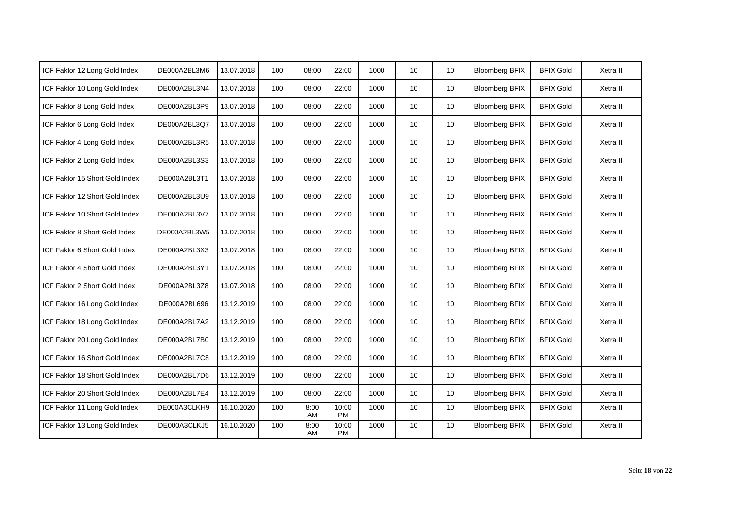| ICF Faktor 12 Long Gold Index  | DE000A2BL3M6 | 13.07.2018 | 100 | 08:00      | 22:00              | 1000 | 10 | 10              | <b>Bloomberg BFIX</b> | <b>BFIX Gold</b> | Xetra II |
|--------------------------------|--------------|------------|-----|------------|--------------------|------|----|-----------------|-----------------------|------------------|----------|
| ICF Faktor 10 Long Gold Index  | DE000A2BL3N4 | 13.07.2018 | 100 | 08:00      | 22:00              | 1000 | 10 | 10 <sup>°</sup> | <b>Bloomberg BFIX</b> | <b>BFIX Gold</b> | Xetra II |
| ICF Faktor 8 Long Gold Index   | DE000A2BL3P9 | 13.07.2018 | 100 | 08:00      | 22:00              | 1000 | 10 | 10 <sup>°</sup> | <b>Bloomberg BFIX</b> | <b>BFIX Gold</b> | Xetra II |
| ICF Faktor 6 Long Gold Index   | DE000A2BL3Q7 | 13.07.2018 | 100 | 08:00      | 22:00              | 1000 | 10 | 10 <sup>°</sup> | <b>Bloomberg BFIX</b> | <b>BFIX Gold</b> | Xetra II |
| ICF Faktor 4 Long Gold Index   | DE000A2BL3R5 | 13.07.2018 | 100 | 08:00      | 22:00              | 1000 | 10 | 10              | <b>Bloomberg BFIX</b> | <b>BFIX Gold</b> | Xetra II |
| ICF Faktor 2 Long Gold Index   | DE000A2BL3S3 | 13.07.2018 | 100 | 08:00      | 22:00              | 1000 | 10 | 10              | <b>Bloomberg BFIX</b> | <b>BFIX Gold</b> | Xetra II |
| ICF Faktor 15 Short Gold Index | DE000A2BL3T1 | 13.07.2018 | 100 | 08:00      | 22:00              | 1000 | 10 | 10              | <b>Bloomberg BFIX</b> | <b>BFIX Gold</b> | Xetra II |
| ICF Faktor 12 Short Gold Index | DE000A2BL3U9 | 13.07.2018 | 100 | 08:00      | 22:00              | 1000 | 10 | 10 <sup>°</sup> | <b>Bloomberg BFIX</b> | <b>BFIX Gold</b> | Xetra II |
| ICF Faktor 10 Short Gold Index | DE000A2BL3V7 | 13.07.2018 | 100 | 08:00      | 22:00              | 1000 | 10 | 10 <sup>°</sup> | <b>Bloomberg BFIX</b> | <b>BFIX Gold</b> | Xetra II |
| ICF Faktor 8 Short Gold Index  | DE000A2BL3W5 | 13.07.2018 | 100 | 08:00      | 22:00              | 1000 | 10 | 10              | <b>Bloomberg BFIX</b> | <b>BFIX Gold</b> | Xetra II |
| ICF Faktor 6 Short Gold Index  | DE000A2BL3X3 | 13.07.2018 | 100 | 08:00      | 22:00              | 1000 | 10 | 10 <sup>°</sup> | <b>Bloomberg BFIX</b> | <b>BFIX Gold</b> | Xetra II |
| ICF Faktor 4 Short Gold Index  | DE000A2BL3Y1 | 13.07.2018 | 100 | 08:00      | 22:00              | 1000 | 10 | 10              | <b>Bloomberg BFIX</b> | <b>BFIX Gold</b> | Xetra II |
| ICF Faktor 2 Short Gold Index  | DE000A2BL3Z8 | 13.07.2018 | 100 | 08:00      | 22:00              | 1000 | 10 | 10              | <b>Bloomberg BFIX</b> | <b>BFIX Gold</b> | Xetra II |
| ICF Faktor 16 Long Gold Index  | DE000A2BL696 | 13.12.2019 | 100 | 08:00      | 22:00              | 1000 | 10 | 10 <sup>°</sup> | <b>Bloomberg BFIX</b> | <b>BFIX Gold</b> | Xetra II |
| ICF Faktor 18 Long Gold Index  | DE000A2BL7A2 | 13.12.2019 | 100 | 08:00      | 22:00              | 1000 | 10 | 10              | <b>Bloomberg BFIX</b> | <b>BFIX Gold</b> | Xetra II |
| ICF Faktor 20 Long Gold Index  | DE000A2BL7B0 | 13.12.2019 | 100 | 08:00      | 22:00              | 1000 | 10 | 10              | <b>Bloomberg BFIX</b> | <b>BFIX Gold</b> | Xetra II |
| ICF Faktor 16 Short Gold Index | DE000A2BL7C8 | 13.12.2019 | 100 | 08:00      | 22:00              | 1000 | 10 | 10 <sup>°</sup> | <b>Bloomberg BFIX</b> | <b>BFIX Gold</b> | Xetra II |
| ICF Faktor 18 Short Gold Index | DE000A2BL7D6 | 13.12.2019 | 100 | 08:00      | 22:00              | 1000 | 10 | 10 <sup>°</sup> | <b>Bloomberg BFIX</b> | <b>BFIX Gold</b> | Xetra II |
| ICF Faktor 20 Short Gold Index | DE000A2BL7E4 | 13.12.2019 | 100 | 08:00      | 22:00              | 1000 | 10 | 10              | <b>Bloomberg BFIX</b> | <b>BFIX Gold</b> | Xetra II |
| ICF Faktor 11 Long Gold Index  | DE000A3CLKH9 | 16.10.2020 | 100 | 8:00<br>AM | 10:00<br><b>PM</b> | 1000 | 10 | 10              | <b>Bloomberg BFIX</b> | <b>BFIX Gold</b> | Xetra II |
| ICF Faktor 13 Long Gold Index  | DE000A3CLKJ5 | 16.10.2020 | 100 | 8:00<br>AM | 10:00<br><b>PM</b> | 1000 | 10 | 10              | <b>Bloomberg BFIX</b> | <b>BFIX Gold</b> | Xetra II |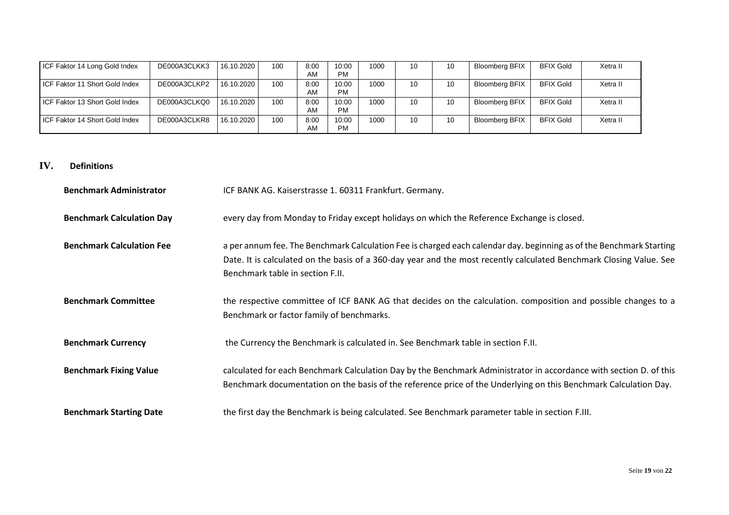| ICF Faktor 14 Long Gold Index  | DE000A3CLKK3 | 16.10.2020 | 100 | 8:00<br>AM | 10:00<br><b>PM</b> | 1000 | 10 | 10 | Bloomberg BFIX | <b>BFIX Gold</b> | Xetra II |
|--------------------------------|--------------|------------|-----|------------|--------------------|------|----|----|----------------|------------------|----------|
| ICF Faktor 11 Short Gold Index | DE000A3CLKP2 | 16.10.2020 | 100 | 8:00<br>AM | 10:00<br><b>PM</b> | 1000 | 10 | 10 | Bloomberg BFIX | <b>BFIX Gold</b> | Xetra II |
| ICF Faktor 13 Short Gold Index | DE000A3CLKQ0 | 16.10.2020 | 100 | 8:00<br>AM | 10:00<br><b>PM</b> | 1000 | 10 | 10 | Bloomberg BFIX | <b>BFIX Gold</b> | Xetra II |
| ICF Faktor 14 Short Gold Index | DE000A3CLKR8 | 16.10.2020 | 100 | 8:00<br>AM | 10:00<br><b>PM</b> | 1000 | 10 | 10 | Bloomberg BFIX | <b>BFIX Gold</b> | Xetra II |

### <span id="page-18-0"></span>**IV. Definitions**

| <b>Benchmark Administrator</b>   | ICF BANK AG. Kaiserstrasse 1. 60311 Frankfurt. Germany.                                                                                                                                                                                                                        |
|----------------------------------|--------------------------------------------------------------------------------------------------------------------------------------------------------------------------------------------------------------------------------------------------------------------------------|
| <b>Benchmark Calculation Day</b> | every day from Monday to Friday except holidays on which the Reference Exchange is closed.                                                                                                                                                                                     |
| <b>Benchmark Calculation Fee</b> | a per annum fee. The Benchmark Calculation Fee is charged each calendar day. beginning as of the Benchmark Starting<br>Date. It is calculated on the basis of a 360-day year and the most recently calculated Benchmark Closing Value. See<br>Benchmark table in section F.II. |
| <b>Benchmark Committee</b>       | the respective committee of ICF BANK AG that decides on the calculation. composition and possible changes to a<br>Benchmark or factor family of benchmarks.                                                                                                                    |
| <b>Benchmark Currency</b>        | the Currency the Benchmark is calculated in. See Benchmark table in section F.II.                                                                                                                                                                                              |
| <b>Benchmark Fixing Value</b>    | calculated for each Benchmark Calculation Day by the Benchmark Administrator in accordance with section D. of this<br>Benchmark documentation on the basis of the reference price of the Underlying on this Benchmark Calculation Day.                                         |
| <b>Benchmark Starting Date</b>   | the first day the Benchmark is being calculated. See Benchmark parameter table in section F.III.                                                                                                                                                                               |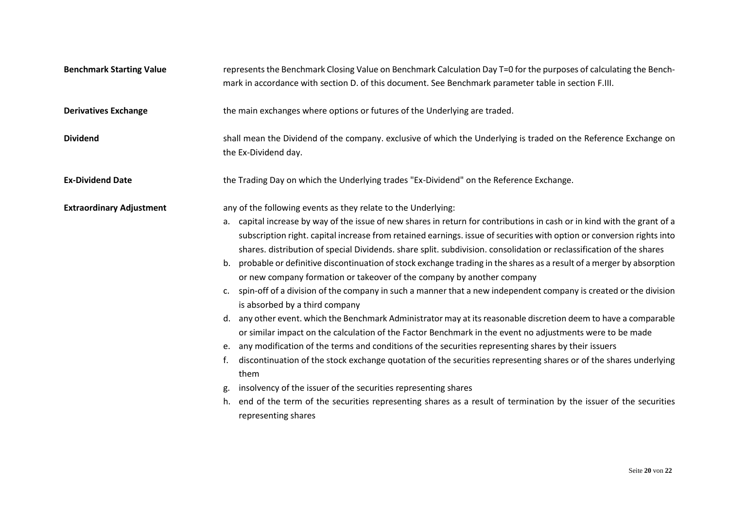| <b>Benchmark Starting Value</b> | represents the Benchmark Closing Value on Benchmark Calculation Day T=0 for the purposes of calculating the Bench-<br>mark in accordance with section D. of this document. See Benchmark parameter table in section F.III.                                                                                                                                                                                                                                                                                                                                                                                                                                                                                                                                                                                                                                                                                                                                                                                                                                                                                                                                                                                                                                                                                                                                                                                                                  |
|---------------------------------|---------------------------------------------------------------------------------------------------------------------------------------------------------------------------------------------------------------------------------------------------------------------------------------------------------------------------------------------------------------------------------------------------------------------------------------------------------------------------------------------------------------------------------------------------------------------------------------------------------------------------------------------------------------------------------------------------------------------------------------------------------------------------------------------------------------------------------------------------------------------------------------------------------------------------------------------------------------------------------------------------------------------------------------------------------------------------------------------------------------------------------------------------------------------------------------------------------------------------------------------------------------------------------------------------------------------------------------------------------------------------------------------------------------------------------------------|
| <b>Derivatives Exchange</b>     | the main exchanges where options or futures of the Underlying are traded.                                                                                                                                                                                                                                                                                                                                                                                                                                                                                                                                                                                                                                                                                                                                                                                                                                                                                                                                                                                                                                                                                                                                                                                                                                                                                                                                                                   |
| <b>Dividend</b>                 | shall mean the Dividend of the company. exclusive of which the Underlying is traded on the Reference Exchange on<br>the Ex-Dividend day.                                                                                                                                                                                                                                                                                                                                                                                                                                                                                                                                                                                                                                                                                                                                                                                                                                                                                                                                                                                                                                                                                                                                                                                                                                                                                                    |
| <b>Ex-Dividend Date</b>         | the Trading Day on which the Underlying trades "Ex-Dividend" on the Reference Exchange.                                                                                                                                                                                                                                                                                                                                                                                                                                                                                                                                                                                                                                                                                                                                                                                                                                                                                                                                                                                                                                                                                                                                                                                                                                                                                                                                                     |
| <b>Extraordinary Adjustment</b> | any of the following events as they relate to the Underlying:                                                                                                                                                                                                                                                                                                                                                                                                                                                                                                                                                                                                                                                                                                                                                                                                                                                                                                                                                                                                                                                                                                                                                                                                                                                                                                                                                                               |
|                                 | a. capital increase by way of the issue of new shares in return for contributions in cash or in kind with the grant of a<br>subscription right. capital increase from retained earnings. issue of securities with option or conversion rights into<br>shares. distribution of special Dividends. share split. subdivision. consolidation or reclassification of the shares<br>b. probable or definitive discontinuation of stock exchange trading in the shares as a result of a merger by absorption<br>or new company formation or takeover of the company by another company<br>spin-off of a division of the company in such a manner that a new independent company is created or the division<br>c.<br>is absorbed by a third company<br>any other event. which the Benchmark Administrator may at its reasonable discretion deem to have a comparable<br>or similar impact on the calculation of the Factor Benchmark in the event no adjustments were to be made<br>any modification of the terms and conditions of the securities representing shares by their issuers<br>e.<br>discontinuation of the stock exchange quotation of the securities representing shares or of the shares underlying<br>f.<br>them<br>insolvency of the issuer of the securities representing shares<br>end of the term of the securities representing shares as a result of termination by the issuer of the securities<br>h.<br>representing shares |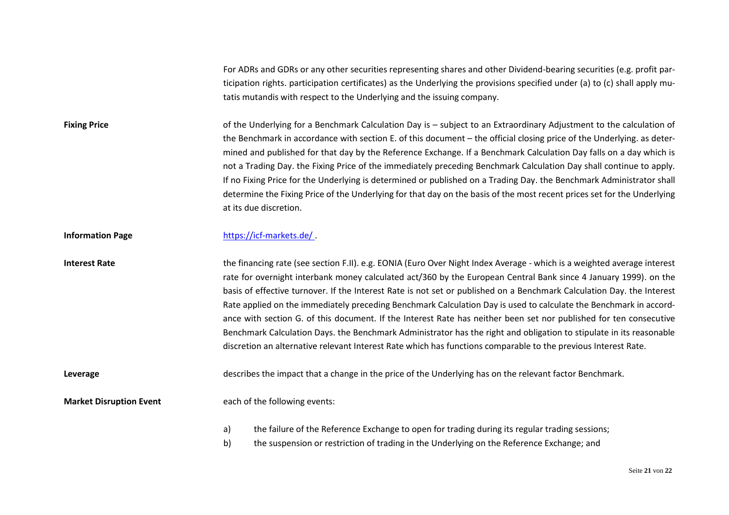For ADRs and GDRs or any other securities representing shares and other Dividend-bearing securities (e.g. profit participation rights. participation certificates) as the Underlying the provisions specified under (a) to (c) shall apply mutatis mutandis with respect to the Underlying and the issuing company.

**Fixing Price** of the Underlying for a Benchmark Calculation Day is – subject to an Extraordinary Adjustment to the calculation of the Benchmark in accordance with section E. of this document – the official closing price of the Underlying. as determined and published for that day by the Reference Exchange. If a Benchmark Calculation Day falls on a day which is not a Trading Day. the Fixing Price of the immediately preceding Benchmark Calculation Day shall continue to apply. If no Fixing Price for the Underlying is determined or published on a Trading Day. the Benchmark Administrator shall determine the Fixing Price of the Underlying for that day on the basis of the most recent prices set for the Underlying at its due discretion.

**Information Page** <https://icf-markets.de/>

**Interest Rate** the financing rate (see section F.II). e.g. EONIA (Euro Over Night Index Average - which is a weighted average interest rate for overnight interbank money calculated act/360 by the European Central Bank since 4 January 1999). on the basis of effective turnover. If the Interest Rate is not set or published on a Benchmark Calculation Day. the Interest Rate applied on the immediately preceding Benchmark Calculation Day is used to calculate the Benchmark in accordance with section G. of this document. If the Interest Rate has neither been set nor published for ten consecutive Benchmark Calculation Days. the Benchmark Administrator has the right and obligation to stipulate in its reasonable discretion an alternative relevant Interest Rate which has functions comparable to the previous Interest Rate.

**Leverage** describes the impact that a change in the price of the Underlying has on the relevant factor Benchmark.

**Market Disruption Event** each of the following events:

- a) the failure of the Reference Exchange to open for trading during its regular trading sessions;
- b) the suspension or restriction of trading in the Underlying on the Reference Exchange; and